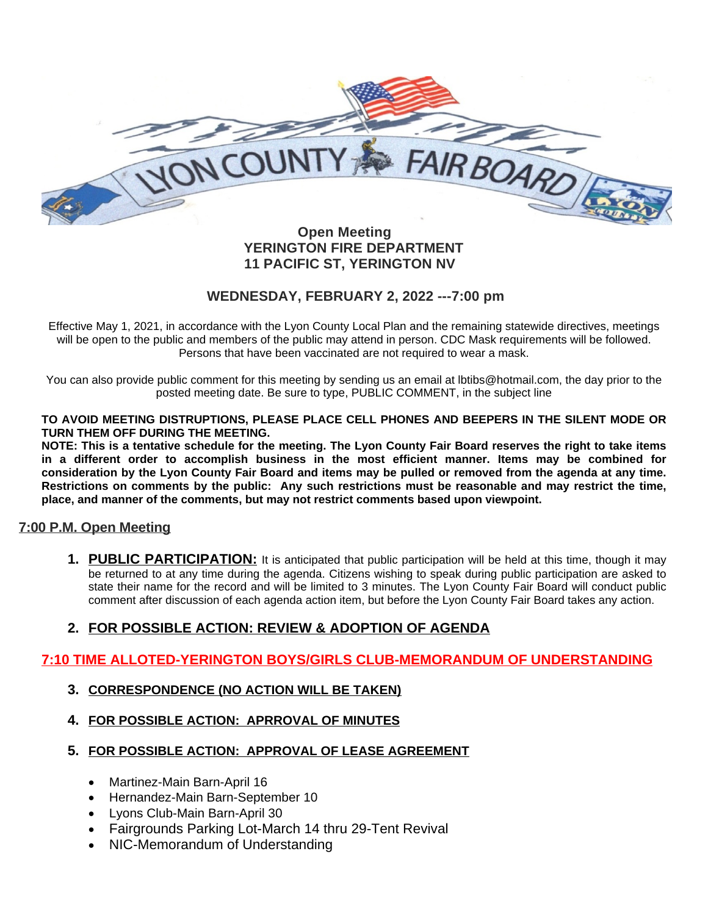

## **Open Meeting YERINGTON FIRE DEPARTMENT 11 PACIFIC ST, YERINGTON NV**

## **WEDNESDAY, FEBRUARY 2, 2022 ---7:00 pm**

Effective May 1, 2021, in accordance with the Lyon County Local Plan and the remaining statewide directives, meetings will be open to the public and members of the public may attend in person. CDC Mask requirements will be followed. Persons that have been vaccinated are not required to wear a mask.

You can also provide public comment for this meeting by sending us an email at lbtibs@hotmail.com, the day prior to the posted meeting date. Be sure to type, PUBLIC COMMENT, in the subject line

**TO AVOID MEETING DISTRUPTIONS, PLEASE PLACE CELL PHONES AND BEEPERS IN THE SILENT MODE OR TURN THEM OFF DURING THE MEETING.**

NOTE: This is a tentative schedule for the meeting. The Lyon County Fair Board reserves the right to take items **in a different order to accomplish business in the most efficient manner. Items may be combined for** consideration by the Lyon County Fair Board and items may be pulled or removed from the agenda at any time. Restrictions on comments by the public: Any such restrictions must be reasonable and may restrict the time, **place, and manner of the comments, but may not restrict comments based upon viewpoint.**

## **7:00 P.M. Open Meeting**

**1. PUBLIC PARTICIPATION:** It is anticipated that public participation will be held at this time, though it may be returned to at any time during the agenda. Citizens wishing to speak during public participation are asked to state their name for the record and will be limited to 3 minutes. The Lyon County Fair Board will conduct public comment after discussion of each agenda action item, but before the Lyon County Fair Board takes any action.

## **2. FOR POSSIBLE ACTION: REVIEW & ADOPTION OF AGENDA**

## **7:10 TIME ALLOTED-YERINGTON BOYS/GIRLS CLUB-MEMORANDUM OF UNDERSTANDING**

## **3. CORRESPONDENCE (NO ACTION WILL BE TAKEN)**

- **4. FOR POSSIBLE ACTION: APRROVAL OF MINUTES**
- **5. FOR POSSIBLE ACTION: APPROVAL OF LEASE AGREEMENT**
	- Martinez-Main Barn-April 16
	- Hernandez-Main Barn-September 10
	- Lyons Club-Main Barn-April 30
	- Fairgrounds Parking Lot-March 14 thru 29-Tent Revival
	- NIC-Memorandum of Understanding